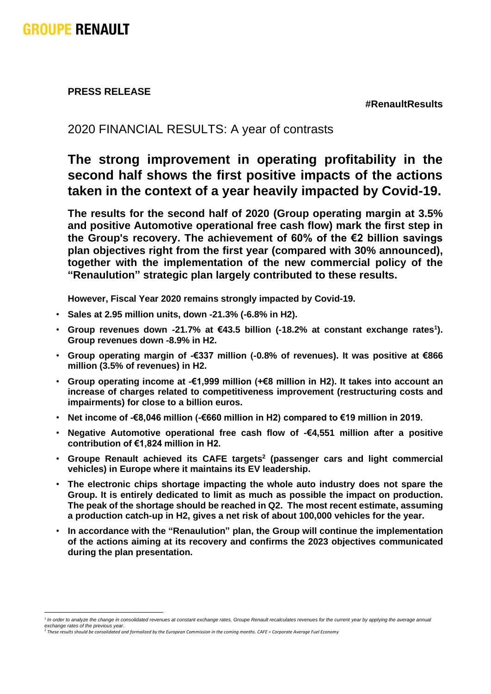**PRESS RELEASE**

**#RenaultResults**

## 2020 FINANCIAL RESULTS: A year of contrasts

## **The strong improvement in operating profitability in the second half shows the first positive impacts of the actions taken in the context of a year heavily impacted by Covid-19.**

**The results for the second half of 2020 (Group operating margin at 3.5% and positive Automotive operational free cash flow) mark the first step in the Group's recovery. The achievement of 60% of the €2 billion savings plan objectives right from the first year (compared with 30% announced), together with the implementation of the new commercial policy of the "Renaulution" strategic plan largely contributed to these results.**

**However, Fiscal Year 2020 remains strongly impacted by Covid-19.**

- **Sales at 2.95 million units, down -21.3% (-6.8% in H2).**
- **Group revenues down -21.7% at €43.5 billion (-18.2% at constant exchange rates<sup>1</sup> ). Group revenues down -8.9% in H2.**
- **Group operating margin of -€337 million (-0.8% of revenues). It was positive at €866 million (3.5% of revenues) in H2.**
- **Group operating income at -€1,999 million (+€8 million in H2). It takes into account an increase of charges related to competitiveness improvement (restructuring costs and impairments) for close to a billion euros.**
- **Net income of -€8,046 million (-€660 million in H2) compared to €19 million in 2019.**
- **Negative Automotive operational free cash flow of -€4,551 million after a positive contribution of €1,824 million in H2.**
- **Groupe Renault achieved its CAFE targets<sup>2</sup> (passenger cars and light commercial vehicles) in Europe where it maintains its EV leadership.**
- **The electronic chips shortage impacting the whole auto industry does not spare the Group. It is entirely dedicated to limit as much as possible the impact on production. The peak of the shortage should be reached in Q2. The most recent estimate, assuming a production catch-up in H2, gives a net risk of about 100,000 vehicles for the year.**
- **In accordance with the "Renaulution" plan, the Group will continue the implementation of the actions aiming at its recovery and confirms the 2023 objectives communicated during the plan presentation.**

<sup>&</sup>lt;sup>1</sup> In order to analyze the change in consolidated revenues at constant exchange rates, Groupe Renault recalculates revenues for the current year by applying the average annual *exchange rates of the previous year*. 2 *These results should be consolidated and formalized by the European Commission in the coming months. CAFE = Corporate Average Fuel Economy*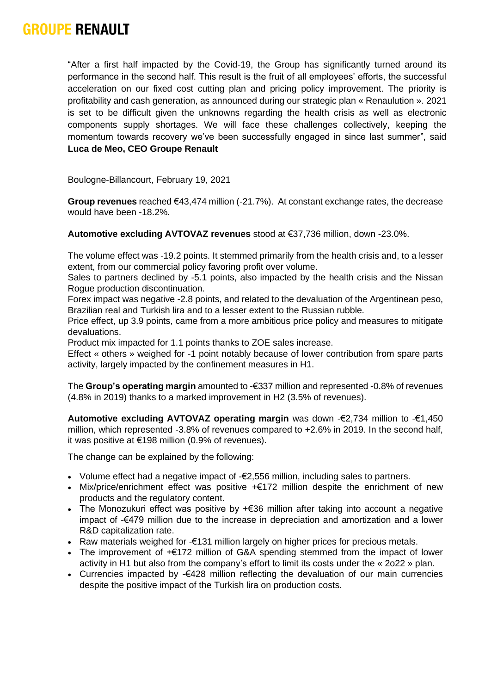"After a first half impacted by the Covid-19, the Group has significantly turned around its performance in the second half. This result is the fruit of all employees' efforts, the successful acceleration on our fixed cost cutting plan and pricing policy improvement. The priority is profitability and cash generation, as announced during our strategic plan « Renaulution ». 2021 is set to be difficult given the unknowns regarding the health crisis as well as electronic components supply shortages. We will face these challenges collectively, keeping the momentum towards recovery we've been successfully engaged in since last summer", said **Luca de Meo, CEO Groupe Renault**

Boulogne-Billancourt, February 19, 2021

**Group revenues** reached €43,474 million (-21.7%). At constant exchange rates, the decrease would have been -18.2%.

**Automotive excluding AVTOVAZ revenues** stood at €37,736 million, down -23.0%.

The volume effect was -19.2 points. It stemmed primarily from the health crisis and, to a lesser extent, from our commercial policy favoring profit over volume.

Sales to partners declined by -5.1 points, also impacted by the health crisis and the Nissan Rogue production discontinuation.

Forex impact was negative -2.8 points, and related to the devaluation of the Argentinean peso, Brazilian real and Turkish lira and to a lesser extent to the Russian rubble.

Price effect, up 3.9 points, came from a more ambitious price policy and measures to mitigate devaluations.

Product mix impacted for 1.1 points thanks to ZOE sales increase.

Effect « others » weighed for -1 point notably because of lower contribution from spare parts activity, largely impacted by the confinement measures in H1.

The **Group's operating margin** amounted to -€337 million and represented -0.8% of revenues (4.8% in 2019) thanks to a marked improvement in H2 (3.5% of revenues).

**Automotive excluding AVTOVAZ operating margin** was down -€2,734 million to -€1,450 million, which represented -3.8% of revenues compared to +2.6% in 2019. In the second half, it was positive at €198 million (0.9% of revenues).

The change can be explained by the following:

- Volume effect had a negative impact of -€2,556 million, including sales to partners.
- Mix/price/enrichment effect was positive +€172 million despite the enrichment of new products and the regulatory content.
- The Monozukuri effect was positive by +€36 million after taking into account a negative impact of -€479 million due to the increase in depreciation and amortization and a lower R&D capitalization rate.
- Raw materials weighed for -€131 million largely on higher prices for precious metals.
- The improvement of +€172 million of G&A spending stemmed from the impact of lower activity in H1 but also from the company's effort to limit its costs under the « 2o22 » plan.
- Currencies impacted by -€428 million reflecting the devaluation of our main currencies despite the positive impact of the Turkish lira on production costs.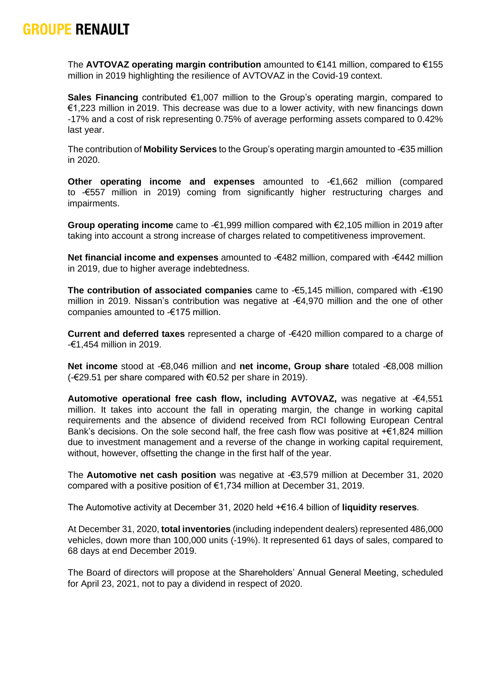The **AVTOVAZ operating margin contribution** amounted to €141 million, compared to €155 million in 2019 highlighting the resilience of AVTOVAZ in the Covid-19 context.

**Sales Financing** contributed €1,007 million to the Group's operating margin, compared to €1,223 million in 2019. This decrease was due to a lower activity, with new financings down -17% and a cost of risk representing 0.75% of average performing assets compared to 0.42% last year.

The contribution of **Mobility Services** to the Group's operating margin amounted to -€35 million in 2020.

**Other operating income and expenses** amounted to -€1,662 million (compared to -€557 million in 2019) coming from significantly higher restructuring charges and impairments.

**Group operating income** came to -€1,999 million compared with €2,105 million in 2019 after taking into account a strong increase of charges related to competitiveness improvement.

**Net financial income and expenses** amounted to -€482 million, compared with -€442 million in 2019, due to higher average indebtedness.

**The contribution of associated companies** came to -€5,145 million, compared with -€190 million in 2019. Nissan's contribution was negative at -€4,970 million and the one of other companies amounted to -€175 million.

**Current and deferred taxes** represented a charge of -€420 million compared to a charge of -€1,454 million in 2019.

**Net income** stood at -€8,046 million and **net income, Group share** totaled -€8,008 million (-€29.51 per share compared with €0.52 per share in 2019).

**Automotive operational free cash flow, including AVTOVAZ,** was negative at -€4,551 million. It takes into account the fall in operating margin, the change in working capital requirements and the absence of dividend received from RCI following European Central Bank's decisions. On the sole second half, the free cash flow was positive at +€1,824 million due to investment management and a reverse of the change in working capital requirement, without, however, offsetting the change in the first half of the year.

The **Automotive net cash position** was negative at -€3,579 million at December 31, 2020 compared with a positive position of €1,734 million at December 31, 2019.

The Automotive activity at December 31, 2020 held +€16.4 billion of **liquidity reserves**.

At December 31, 2020, **total inventories** (including independent dealers) represented 486,000 vehicles, down more than 100,000 units (-19%). It represented 61 days of sales, compared to 68 days at end December 2019.

The Board of directors will propose at the Shareholders' Annual General Meeting, scheduled for April 23, 2021, not to pay a dividend in respect of 2020.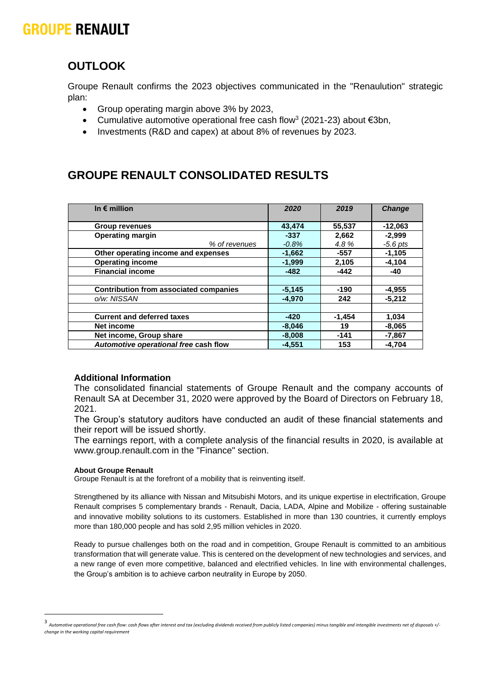## **OUTLOOK**

Groupe Renault confirms the 2023 objectives communicated in the "Renaulution" strategic plan:

- Group operating margin above 3% by 2023,
- Cumulative automotive operational free cash flow<sup>3</sup> (2021-23) about  $\epsilon$ 3bn,
- Investments (R&D and capex) at about 8% of revenues by 2023.

## **GROUPE RENAULT CONSOLIDATED RESULTS**

| In $\epsilon$ million                         | 2020     | 2019     | <b>Change</b> |
|-----------------------------------------------|----------|----------|---------------|
|                                               |          |          |               |
| <b>Group revenues</b>                         | 43,474   | 55,537   | $-12,063$     |
| <b>Operating margin</b>                       | $-337$   | 2,662    | $-2.999$      |
| % of revenues                                 | $-0.8\%$ | 4.8%     | $-5.6$ pts    |
| Other operating income and expenses           | $-1,662$ | $-557$   | $-1,105$      |
| <b>Operating income</b>                       | $-1,999$ | 2,105    | $-4,104$      |
| <b>Financial income</b>                       | $-482$   | $-442$   | -40           |
|                                               |          |          |               |
| <b>Contribution from associated companies</b> | $-5,145$ | -190     | -4,955        |
| o/w: NISSAN                                   | $-4.970$ | 242      | $-5,212$      |
|                                               |          |          |               |
| <b>Current and deferred taxes</b>             | $-420$   | $-1,454$ | 1,034         |
| Net income                                    | $-8,046$ | 19       | $-8,065$      |
| Net income, Group share                       | $-8,008$ | $-141$   | $-7,867$      |
| Automotive operational free cash flow         | $-4,551$ | 153      | $-4,704$      |

### **Additional Information**

The consolidated financial statements of Groupe Renault and the company accounts of Renault SA at December 31, 2020 were approved by the Board of Directors on February 18, 2021.

The Group's statutory auditors have conducted an audit of these financial statements and their report will be issued shortly.

The earnings report, with a complete analysis of the financial results in 2020, is available at www.group.renault.com in the "Finance" section.

### **About Groupe Renault**

Groupe Renault is at the forefront of a mobility that is reinventing itself.

Strengthened by its alliance with Nissan and Mitsubishi Motors, and its unique expertise in electrification, Groupe Renault comprises 5 complementary brands - Renault, Dacia, LADA, Alpine and Mobilize - offering sustainable and innovative mobility solutions to its customers. Established in more than 130 countries, it currently employs more than 180,000 people and has sold 2,95 million vehicles in 2020.

Ready to pursue challenges both on the road and in competition, Groupe Renault is committed to an ambitious transformation that will generate value. This is centered on the development of new technologies and services, and a new range of even more competitive, balanced and electrified vehicles. In line with environmental challenges, the Group's ambition is to achieve carbon neutrality in Europe by 2050.

<sup>3</sup> *Automotive operational free cash flow: cash flows after interest and tax (excluding dividends received from publicly listed companies) minus tangible and intangible investments net of disposals +/ change in the working capital requirement*